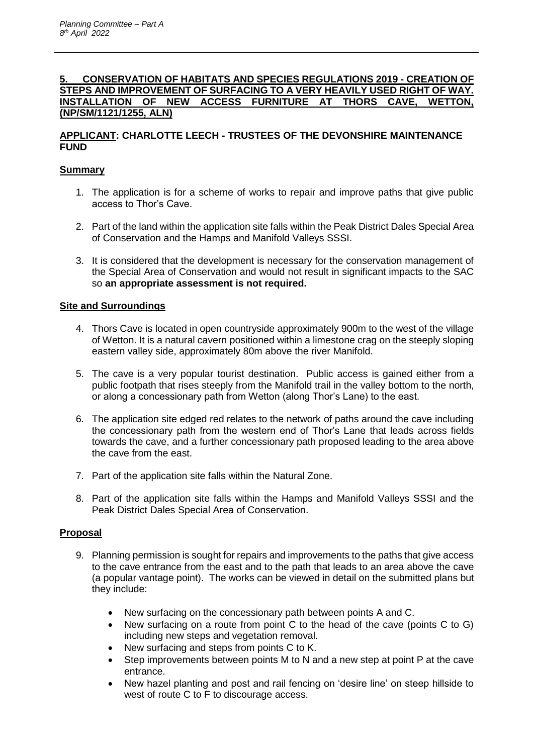#### **5. CONSERVATION OF HABITATS AND SPECIES REGULATIONS 2019 - CREATION OF STEPS AND IMPROVEMENT OF SURFACING TO A VERY HEAVILY USED RIGHT OF WAY. INSTALLATION OF NEW ACCESS FURNITURE AT THORS CAVE, WETTON, (NP/SM/1121/1255, ALN)**

## **APPLICANT: CHARLOTTE LEECH - TRUSTEES OF THE DEVONSHIRE MAINTENANCE FUND**

### **Summary**

- 1. The application is for a scheme of works to repair and improve paths that give public access to Thor's Cave.
- 2. Part of the land within the application site falls within the Peak District Dales Special Area of Conservation and the Hamps and Manifold Valleys SSSI.
- 3. It is considered that the development is necessary for the conservation management of the Special Area of Conservation and would not result in significant impacts to the SAC so **an appropriate assessment is not required.**

### **Site and Surroundings**

- 4. Thors Cave is located in open countryside approximately 900m to the west of the village of Wetton. It is a natural cavern positioned within a limestone crag on the steeply sloping eastern valley side, approximately 80m above the river Manifold.
- 5. The cave is a very popular tourist destination. Public access is gained either from a public footpath that rises steeply from the Manifold trail in the valley bottom to the north, or along a concessionary path from Wetton (along Thor's Lane) to the east.
- 6. The application site edged red relates to the network of paths around the cave including the concessionary path from the western end of Thor's Lane that leads across fields towards the cave, and a further concessionary path proposed leading to the area above the cave from the east.
- 7. Part of the application site falls within the Natural Zone.
- 8. Part of the application site falls within the Hamps and Manifold Valleys SSSI and the Peak District Dales Special Area of Conservation.

### **Proposal**

- 9. Planning permission is sought for repairs and improvements to the paths that give access to the cave entrance from the east and to the path that leads to an area above the cave (a popular vantage point). The works can be viewed in detail on the submitted plans but they include:
	- New surfacing on the concessionary path between points A and C.
	- New surfacing on a route from point C to the head of the cave (points C to G) including new steps and vegetation removal.
	- New surfacing and steps from points C to K.
	- Step improvements between points M to N and a new step at point P at the cave entrance.
	- New hazel planting and post and rail fencing on 'desire line' on steep hillside to west of route C to F to discourage access.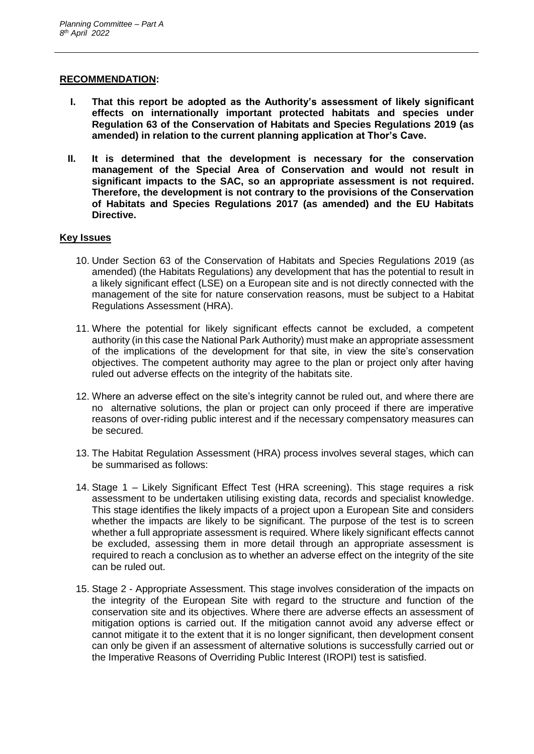#### **RECOMMENDATION:**

- **I. That this report be adopted as the Authority's assessment of likely significant effects on internationally important protected habitats and species under Regulation 63 of the Conservation of Habitats and Species Regulations 2019 (as amended) in relation to the current planning application at Thor's Cave.**
- **II. It is determined that the development is necessary for the conservation management of the Special Area of Conservation and would not result in significant impacts to the SAC, so an appropriate assessment is not required. Therefore, the development is not contrary to the provisions of the Conservation of Habitats and Species Regulations 2017 (as amended) and the EU Habitats Directive.**

### **Key Issues**

- 10. Under Section 63 of the Conservation of Habitats and Species Regulations 2019 (as amended) (the Habitats Regulations) any development that has the potential to result in a likely significant effect (LSE) on a European site and is not directly connected with the management of the site for nature conservation reasons, must be subject to a Habitat Regulations Assessment (HRA).
- 11. Where the potential for likely significant effects cannot be excluded, a competent authority (in this case the National Park Authority) must make an appropriate assessment of the implications of the development for that site, in view the site's conservation objectives. The competent authority may agree to the plan or project only after having ruled out adverse effects on the integrity of the habitats site.
- 12. Where an adverse effect on the site's integrity cannot be ruled out, and where there are no alternative solutions, the plan or project can only proceed if there are imperative reasons of over-riding public interest and if the necessary compensatory measures can be secured.
- 13. The Habitat Regulation Assessment (HRA) process involves several stages, which can be summarised as follows:
- 14. Stage 1 Likely Significant Effect Test (HRA screening). This stage requires a risk assessment to be undertaken utilising existing data, records and specialist knowledge. This stage identifies the likely impacts of a project upon a European Site and considers whether the impacts are likely to be significant. The purpose of the test is to screen whether a full appropriate assessment is required. Where likely significant effects cannot be excluded, assessing them in more detail through an appropriate assessment is required to reach a conclusion as to whether an adverse effect on the integrity of the site can be ruled out.
- 15. Stage 2 Appropriate Assessment. This stage involves consideration of the impacts on the integrity of the European Site with regard to the structure and function of the conservation site and its objectives. Where there are adverse effects an assessment of mitigation options is carried out. If the mitigation cannot avoid any adverse effect or cannot mitigate it to the extent that it is no longer significant, then development consent can only be given if an assessment of alternative solutions is successfully carried out or the Imperative Reasons of Overriding Public Interest (IROPI) test is satisfied.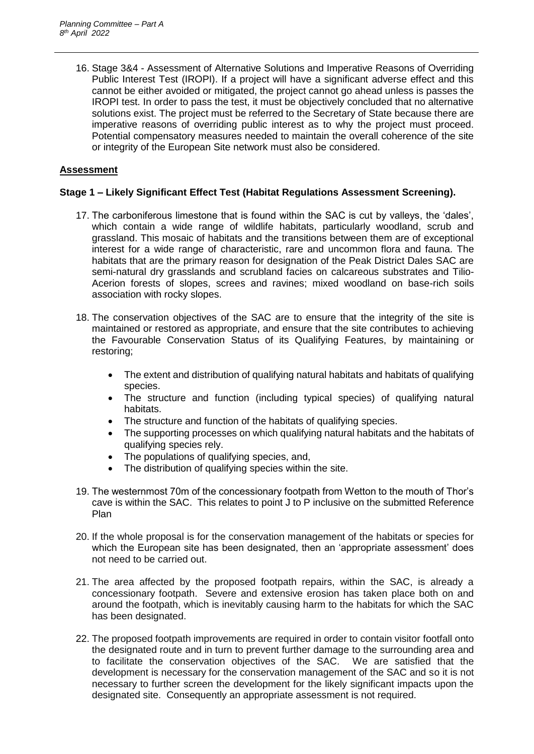16. Stage 3&4 - Assessment of Alternative Solutions and Imperative Reasons of Overriding Public Interest Test (IROPI). If a project will have a significant adverse effect and this cannot be either avoided or mitigated, the project cannot go ahead unless is passes the IROPI test. In order to pass the test, it must be objectively concluded that no alternative solutions exist. The project must be referred to the Secretary of State because there are imperative reasons of overriding public interest as to why the project must proceed. Potential compensatory measures needed to maintain the overall coherence of the site or integrity of the European Site network must also be considered.

## **Assessment**

### **Stage 1 – Likely Significant Effect Test (Habitat Regulations Assessment Screening).**

- 17. The carboniferous limestone that is found within the SAC is cut by valleys, the 'dales', which contain a wide range of wildlife habitats, particularly woodland, scrub and grassland. This mosaic of habitats and the transitions between them are of exceptional interest for a wide range of characteristic, rare and uncommon flora and fauna. The habitats that are the primary reason for designation of the Peak District Dales SAC are semi-natural dry grasslands and scrubland facies on calcareous substrates and Tilio-Acerion forests of slopes, screes and ravines; mixed woodland on base-rich soils association with rocky slopes.
- 18. The conservation objectives of the SAC are to ensure that the integrity of the site is maintained or restored as appropriate, and ensure that the site contributes to achieving the Favourable Conservation Status of its Qualifying Features, by maintaining or restoring;
	- The extent and distribution of qualifying natural habitats and habitats of qualifying species.
	- The structure and function (including typical species) of qualifying natural habitats.
	- The structure and function of the habitats of qualifying species.
	- The supporting processes on which qualifying natural habitats and the habitats of qualifying species rely.
	- The populations of qualifying species, and,
	- The distribution of qualifying species within the site.
- 19. The westernmost 70m of the concessionary footpath from Wetton to the mouth of Thor's cave is within the SAC. This relates to point J to P inclusive on the submitted Reference Plan
- 20. If the whole proposal is for the conservation management of the habitats or species for which the European site has been designated, then an 'appropriate assessment' does not need to be carried out.
- 21. The area affected by the proposed footpath repairs, within the SAC, is already a concessionary footpath. Severe and extensive erosion has taken place both on and around the footpath, which is inevitably causing harm to the habitats for which the SAC has been designated.
- 22. The proposed footpath improvements are required in order to contain visitor footfall onto the designated route and in turn to prevent further damage to the surrounding area and to facilitate the conservation objectives of the SAC. We are satisfied that the development is necessary for the conservation management of the SAC and so it is not necessary to further screen the development for the likely significant impacts upon the designated site. Consequently an appropriate assessment is not required.